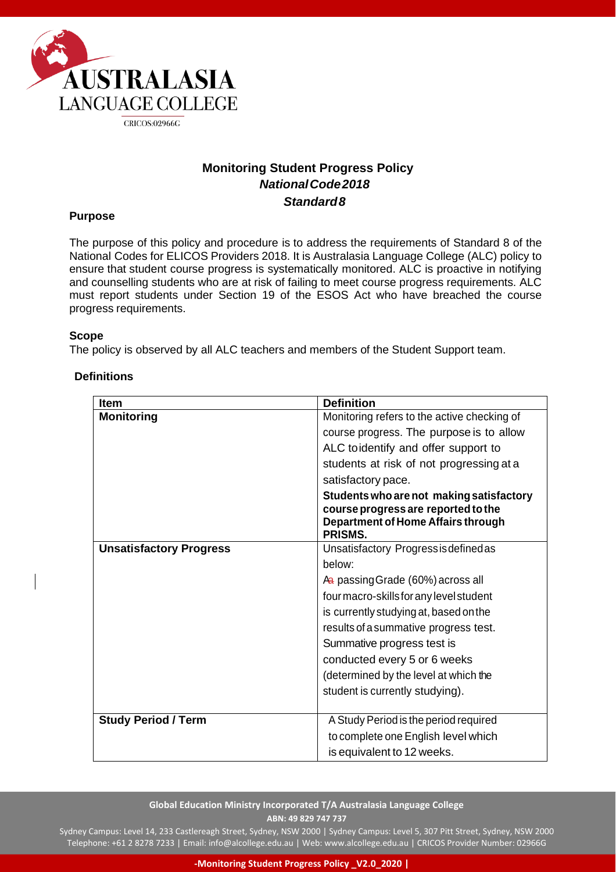

# **Monitoring Student Progress Policy** *NationalCode2018 Standard8*

#### **Purpose**

The purpose of this policy and procedure is to address the requirements of Standard 8 of the National Codes for ELICOS Providers 2018. It is Australasia Language College (ALC) policy to ensure that student course progress is systematically monitored. ALC is proactive in notifying and counselling students who are at risk of failing to meet course progress requirements. ALC must report students under Section 19 of the ESOS Act who have breached the course progress requirements.

#### **Scope**

The policy is observed by all ALC teachers and members of the Student Support team.

| <b>Item</b>                    | <b>Definition</b>                                                                                                                |
|--------------------------------|----------------------------------------------------------------------------------------------------------------------------------|
| <b>Monitoring</b>              | Monitoring refers to the active checking of                                                                                      |
|                                | course progress. The purpose is to allow                                                                                         |
|                                | ALC toidentify and offer support to                                                                                              |
|                                | students at risk of not progressing at a                                                                                         |
|                                | satisfactory pace.                                                                                                               |
|                                | Students who are not making satisfactory<br>course progress are reported to the<br>Department of Home Affairs through<br>PRISMS. |
| <b>Unsatisfactory Progress</b> | Unsatisfactory Progressis defined as                                                                                             |
|                                | below:                                                                                                                           |
|                                | A passing Grade (60%) across all                                                                                                 |
|                                | four macro-skills for any level student                                                                                          |
|                                | is currently studying at, based on the                                                                                           |
|                                | results of a summative progress test.                                                                                            |
|                                | Summative progress test is                                                                                                       |
|                                | conducted every 5 or 6 weeks                                                                                                     |
|                                | (determined by the level at which the                                                                                            |
|                                | student is currently studying).                                                                                                  |
|                                |                                                                                                                                  |
| <b>Study Period / Term</b>     | A Study Period is the period required                                                                                            |
|                                | to complete one English level which                                                                                              |
|                                | is equivalent to 12 weeks.                                                                                                       |

## **Definitions**

#### **Global Education Ministry Incorporated T/A Australasia Language College ABN: 49 829 747 737**

Sydney Campus: Level 14, 233 Castlereagh Street, Sydney, NSW 2000 | Sydney Campus: Level 5, 307 Pitt Street, Sydney, NSW 2000 Telephone: +61 2 8278 7233 | Email[: info@alcollege.edu.au |](mailto:info@alcollege.edu.au) Web[: www.alcollege.edu.au |](http://www.alcollege.edu.au/) CRICOS Provider Number: 02966G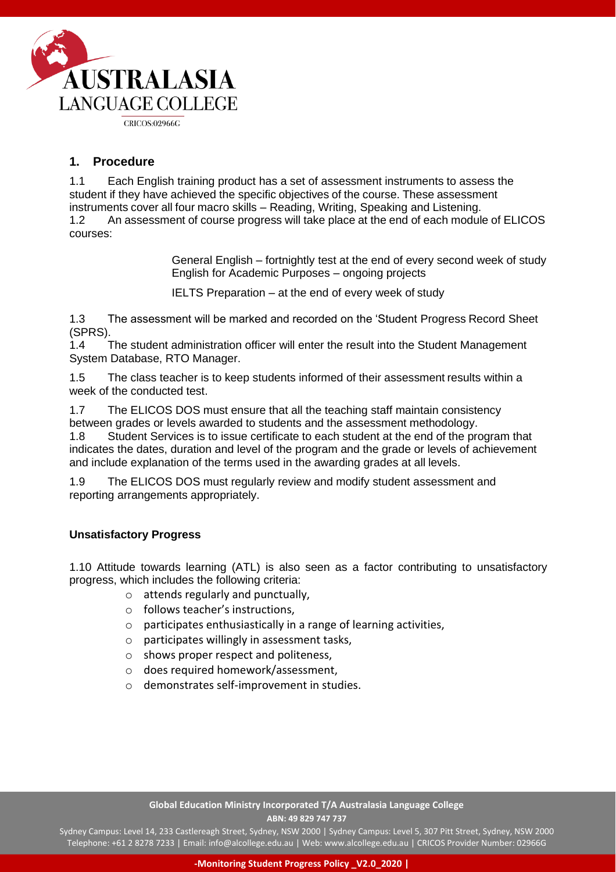

## **1. Procedure**

1.1 Each English training product has a set of assessment instruments to assess the student if they have achieved the specific objectives of the course. These assessment instruments cover all four macro skills – Reading, Writing, Speaking and Listening. 1.2 An assessment of course progress will take place at the end of each module of ELICOS courses:

> General English – fortnightly test at the end of every second week of study English for Academic Purposes – ongoing projects

IELTS Preparation – at the end of every week of study

1.3 The assessment will be marked and recorded on the 'Student Progress Record Sheet (SPRS).

1.4 The student administration officer will enter the result into the Student Management System Database, RTO Manager.

1.5 The class teacher is to keep students informed of their assessment results within a week of the conducted test.

1.7 The ELICOS DOS must ensure that all the teaching staff maintain consistency between grades or levels awarded to students and the assessment methodology. 1.8 Student Services is to issue certificate to each student at the end of the program that indicates the dates, duration and level of the program and the grade or levels of achievement and include explanation of the terms used in the awarding grades at all levels.

1.9 The ELICOS DOS must regularly review and modify student assessment and reporting arrangements appropriately.

## **Unsatisfactory Progress**

1.10 Attitude towards learning (ATL) is also seen as a factor contributing to unsatisfactory progress, which includes the following criteria:

- $\circ$  attends regularly and punctually,
- o follows teacher's instructions,
- o participates enthusiastically in a range of learning activities,
- o participates willingly in assessment tasks,
- o shows proper respect and politeness,
- o does required homework/assessment,
- o demonstrates self-improvement in studies.

#### **Global Education Ministry Incorporated T/A Australasia Language College ABN: 49 829 747 737**

Sydney Campus: Level 14, 233 Castlereagh Street, Sydney, NSW 2000 | Sydney Campus: Level 5, 307 Pitt Street, Sydney, NSW 2000 Telephone: +61 2 8278 7233 | Email[: info@alcollege.edu.au |](mailto:info@alcollege.edu.au) Web[: www.alcollege.edu.au |](http://www.alcollege.edu.au/) CRICOS Provider Number: 02966G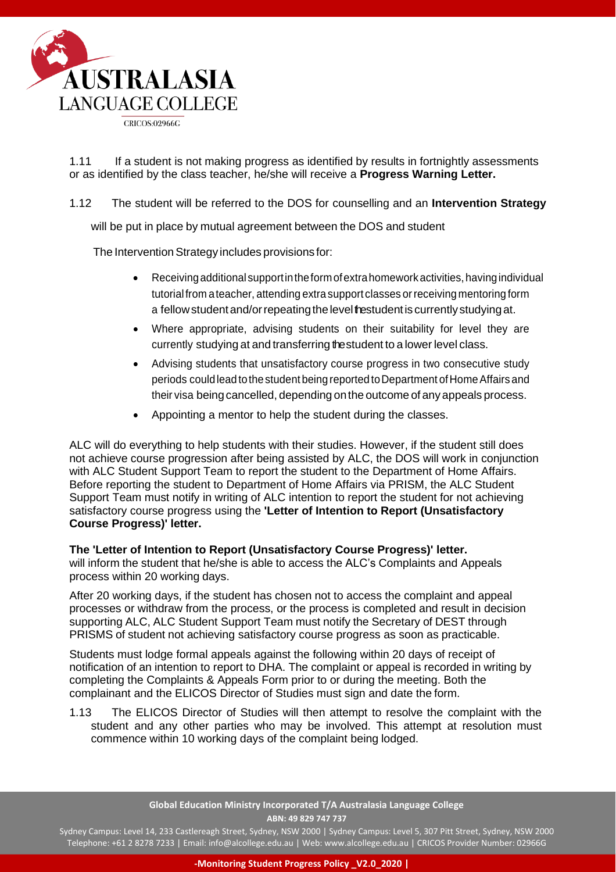

1.11 If a student is not making progress as identified by results in fortnightly assessments or as identified by the class teacher, he/she will receive a **Progress Warning Letter.**

1.12 The student will be referred to the DOS for counselling and an **Intervention Strategy**

will be put in place by mutual agreement between the DOS and student

The Intervention Strategy includes provisions for:

- Receivingadditional supportintheformofextrahomeworkactivities,havingindividual tutorial from a teacher, attending extra support classes or receiving mentoring form a fellow student and/or repeating the level testudent is currently studying at.
- Where appropriate, advising students on their suitability for level they are currently studying at and transferring the student to a lower level class.
- Advising students that unsatisfactory course progress in two consecutive study periods could lead to the student being reported to Department of Home Affairs and their visa being cancelled, depending on the outcome of any appeals process.
- Appointing a mentor to help the student during the classes.

ALC will do everything to help students with their studies. However, if the student still does not achieve course progression after being assisted by ALC, the DOS will work in conjunction with ALC Student Support Team to report the student to the Department of Home Affairs. Before reporting the student to Department of Home Affairs via PRISM, the ALC Student Support Team must notify in writing of ALC intention to report the student for not achieving satisfactory course progress using the **'Letter of Intention to Report (Unsatisfactory Course Progress)' letter.**

## **The 'Letter of Intention to Report (Unsatisfactory Course Progress)' letter.**

will inform the student that he/she is able to access the ALC's Complaints and Appeals process within 20 working days.

After 20 working days, if the student has chosen not to access the complaint and appeal processes or withdraw from the process, or the process is completed and result in decision supporting ALC, ALC Student Support Team must notify the Secretary of DEST through PRISMS of student not achieving satisfactory course progress as soon as practicable.

Students must lodge formal appeals against the following within 20 days of receipt of notification of an intention to report to DHA. The complaint or appeal is recorded in writing by completing the Complaints & Appeals Form prior to or during the meeting. Both the complainant and the ELICOS Director of Studies must sign and date the form.

1.13 The ELICOS Director of Studies will then attempt to resolve the complaint with the student and any other parties who may be involved. This attempt at resolution must commence within 10 working days of the complaint being lodged.

> **Global Education Ministry Incorporated T/A Australasia Language College ABN: 49 829 747 737**

Sydney Campus: Level 14, 233 Castlereagh Street, Sydney, NSW 2000 | Sydney Campus: Level 5, 307 Pitt Street, Sydney, NSW 2000 Telephone: +61 2 8278 7233 | Email[: info@alcollege.edu.au |](mailto:info@alcollege.edu.au) Web[: www.alcollege.edu.au |](http://www.alcollege.edu.au/) CRICOS Provider Number: 02966G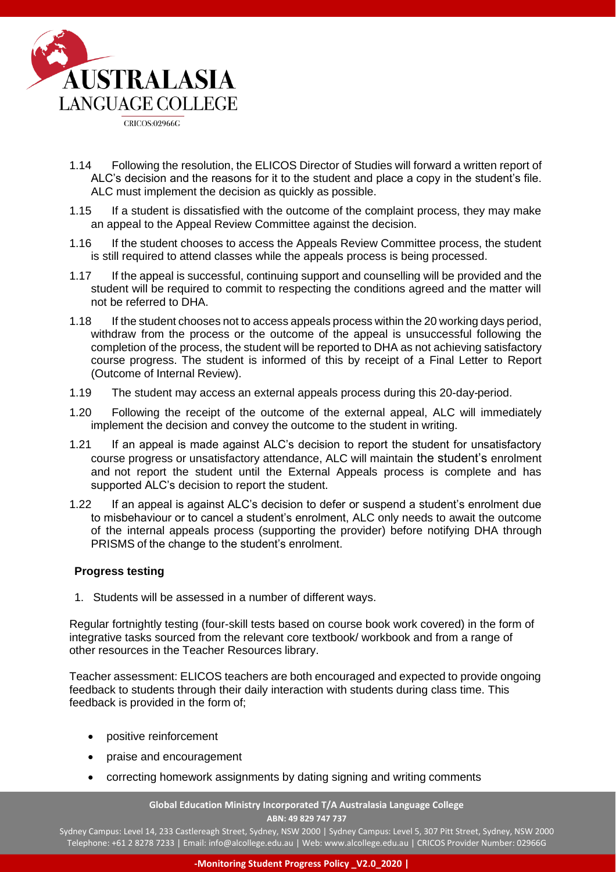

- 1.14 Following the resolution, the ELICOS Director of Studies will forward a written report of ALC's decision and the reasons for it to the student and place a copy in the student's file. ALC must implement the decision as quickly as possible.
- 1.15 If a student is dissatisfied with the outcome of the complaint process, they may make an appeal to the Appeal Review Committee against the decision.
- 1.16 If the student chooses to access the Appeals Review Committee process, the student is still required to attend classes while the appeals process is being processed.
- 1.17 If the appeal is successful, continuing support and counselling will be provided and the student will be required to commit to respecting the conditions agreed and the matter will not be referred to DHA.
- 1.18 If the student chooses not to access appeals process within the 20 working days period, withdraw from the process or the outcome of the appeal is unsuccessful following the completion of the process, the student will be reported to DHA as not achieving satisfactory course progress. The student is informed of this by receipt of a Final Letter to Report (Outcome of Internal Review).
- 1.19 The student may access an external appeals process during this 20-day-period.
- 1.20 Following the receipt of the outcome of the external appeal, ALC will immediately implement the decision and convey the outcome to the student in writing.
- 1.21 If an appeal is made against ALC's decision to report the student for unsatisfactory course progress or unsatisfactory attendance, ALC will maintain the student's enrolment and not report the student until the External Appeals process is complete and has supported ALC's decision to report the student.
- 1.22 If an appeal is against ALC's decision to defer or suspend a student's enrolment due to misbehaviour or to cancel a student's enrolment, ALC only needs to await the outcome of the internal appeals process (supporting the provider) before notifying DHA through PRISMS of the change to the student's enrolment.

## **Progress testing**

1. Students will be assessed in a number of different ways.

Regular fortnightly testing (four-skill tests based on course book work covered) in the form of integrative tasks sourced from the relevant core textbook/ workbook and from a range of other resources in the Teacher Resources library.

Teacher assessment: ELICOS teachers are both encouraged and expected to provide ongoing feedback to students through their daily interaction with students during class time. This feedback is provided in the form of;

- positive reinforcement
- praise and encouragement
- correcting homework assignments by dating signing and writing comments

**Global Education Ministry Incorporated T/A Australasia Language College ABN: 49 829 747 737**

Sydney Campus: Level 14, 233 Castlereagh Street, Sydney, NSW 2000 | Sydney Campus: Level 5, 307 Pitt Street, Sydney, NSW 2000 Telephone: +61 2 8278 7233 | Email[: info@alcollege.edu.au |](mailto:info@alcollege.edu.au) Web[: www.alcollege.edu.au |](http://www.alcollege.edu.au/) CRICOS Provider Number: 02966G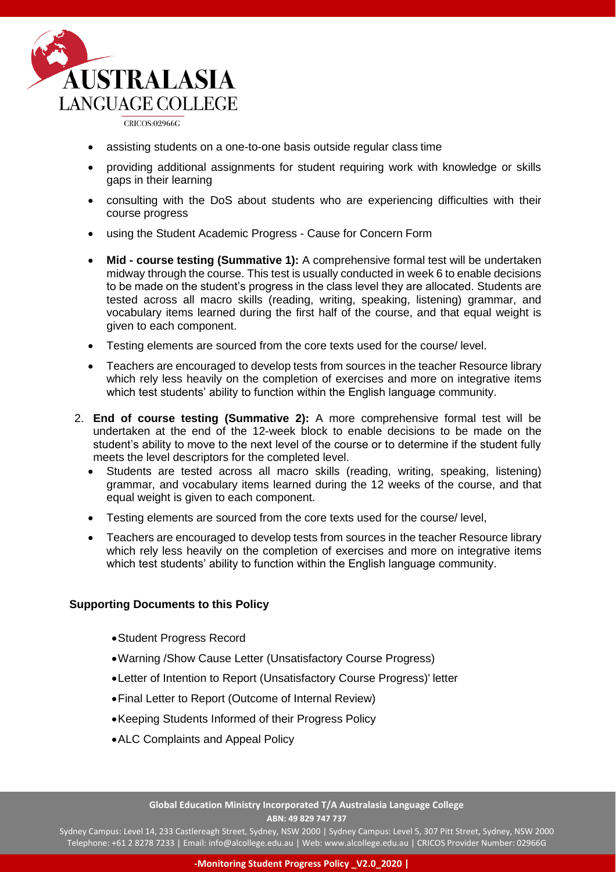

CRICOS:02966G

- assisting students on a one-to-one basis outside regular class time
- providing additional assignments for student requiring work with knowledge or skills gaps in their learning
- consulting with the DoS about students who are experiencing difficulties with their course progress
- using the Student Academic Progress Cause for Concern Form
- **Mid - course testing (Summative 1):** A comprehensive formal test will be undertaken midway through the course. This test is usually conducted in week 6 to enable decisions to be made on the student's progress in the class level they are allocated. Students are tested across all macro skills (reading, writing, speaking, listening) grammar, and vocabulary items learned during the first half of the course, and that equal weight is given to each component.
- Testing elements are sourced from the core texts used for the course/ level.
- Teachers are encouraged to develop tests from sources in the teacher Resource library which rely less heavily on the completion of exercises and more on integrative items which test students' ability to function within the English language community.
- 2. **End of course testing (Summative 2):** A more comprehensive formal test will be undertaken at the end of the 12-week block to enable decisions to be made on the student's ability to move to the next level of the course or to determine if the student fully meets the level descriptors for the completed level.
	- Students are tested across all macro skills (reading, writing, speaking, listening) grammar, and vocabulary items learned during the 12 weeks of the course, and that equal weight is given to each component.
	- Testing elements are sourced from the core texts used for the course/ level,
	- Teachers are encouraged to develop tests from sources in the teacher Resource library which rely less heavily on the completion of exercises and more on integrative items which test students' ability to function within the English language community.

## **Supporting Documents to this Policy**

- •Student Progress Record
- •Warning /Show Cause Letter (Unsatisfactory Course Progress)
- •Letter of Intention to Report (Unsatisfactory Course Progress)' letter
- •Final Letter to Report (Outcome of Internal Review)
- •Keeping Students Informed of their Progress Policy
- •ALC Complaints and Appeal Policy

**Global Education Ministry Incorporated T/A Australasia Language College ABN: 49 829 747 737**

Sydney Campus: Level 14, 233 Castlereagh Street, Sydney, NSW 2000 | Sydney Campus: Level 5, 307 Pitt Street, Sydney, NSW 2000 Telephone: +61 2 8278 7233 | Email[: info@alcollege.edu.au |](mailto:info@alcollege.edu.au) Web[: www.alcollege.edu.au |](http://www.alcollege.edu.au/) CRICOS Provider Number: 02966G